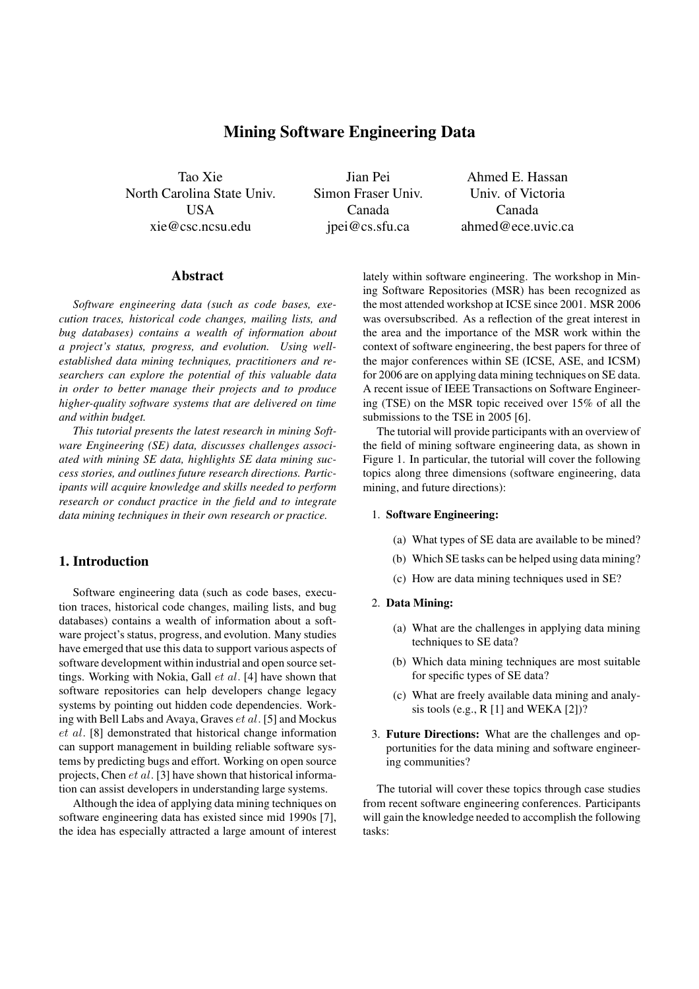# **Mining Software Engineering Data**

Tao Xie North Carolina State Univ. USA xie@csc.ncsu.edu

Jian Pei Simon Fraser Univ. Canada jpei@cs.sfu.ca

Ahmed E. Hassan Univ. of Victoria Canada ahmed@ece.uvic.ca

### **Abstract**

*Software engineering data (such as code bases, execution traces, historical code changes, mailing lists, and bug databases) contains a wealth of information about a project's status, progress, and evolution. Using wellestablished data mining techniques, practitioners and researchers can explore the potential of this valuable data in order to better manage their projects and to produce higher-quality software systems that are delivered on time and within budget.*

*This tutorial presents the latest research in mining Software Engineering (SE) data, discusses challenges associated with mining SE data, highlights SE data mining success stories, and outlines future research directions. Participants will acquire knowledge and skills needed to perform research or conduct practice in the field and to integrate data mining techniques in their own research or practice.*

## **1. Introduction**

Software engineering data (such as code bases, execution traces, historical code changes, mailing lists, and bug databases) contains a wealth of information about a software project's status, progress, and evolution. Many studies have emerged that use this data to support various aspects of software development within industrial and open source settings. Working with Nokia, Gall et al. [4] have shown that software repositories can help developers change legacy systems by pointing out hidden code dependencies. Working with Bell Labs and Avaya, Graves et al. [5] and Mockus et al. [8] demonstrated that historical change information can support management in building reliable software systems by predicting bugs and effort. Working on open source projects, Chen et al. [3] have shown that historical information can assist developers in understanding large systems.

Although the idea of applying data mining techniques on software engineering data has existed since mid 1990s [7], the idea has especially attracted a large amount of interest lately within software engineering. The workshop in Mining Software Repositories (MSR) has been recognized as the most attended workshop at ICSE since 2001. MSR 2006 was oversubscribed. As a reflection of the great interest in the area and the importance of the MSR work within the context of software engineering, the best papers for three of the major conferences within SE (ICSE, ASE, and ICSM) for 2006 are on applying data mining techniques on SE data. A recent issue of IEEE Transactions on Software Engineering (TSE) on the MSR topic received over 15% of all the submissions to the TSE in 2005 [6].

The tutorial will provide participants with an overview of the field of mining software engineering data, as shown in Figure 1. In particular, the tutorial will cover the following topics along three dimensions (software engineering, data mining, and future directions):

### 1. **Software Engineering:**

- (a) What types of SE data are available to be mined?
- (b) Which SE tasks can be helped using data mining?
- (c) How are data mining techniques used in SE?

#### 2. **Data Mining:**

- (a) What are the challenges in applying data mining techniques to SE data?
- (b) Which data mining techniques are most suitable for specific types of SE data?
- (c) What are freely available data mining and analysis tools (e.g.,  $R$  [1] and WEKA [2])?
- 3. **Future Directions:** What are the challenges and opportunities for the data mining and software engineering communities?

The tutorial will cover these topics through case studies from recent software engineering conferences. Participants will gain the knowledge needed to accomplish the following tasks: